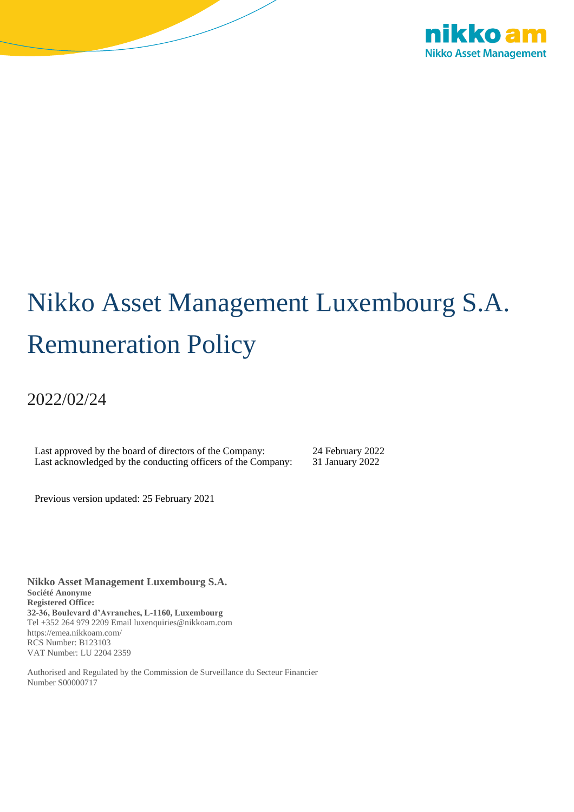

# Nikko Asset Management Luxembourg S.A. Remuneration Policy

2022/02/24

Last approved by the board of directors of the Company: 24 February 2022 Last acknowledged by the conducting officers of the Company: 31 January 2022

Previous version updated: 25 February 2021

**Nikko Asset Management Luxembourg S.A. Société Anonyme Registered Office: 32-36, Boulevard d'Avranches, L-1160, Luxembourg**  Tel +352 264 979 2209 Email luxenquiries@nikkoam.com https://emea.nikkoam.com/ RCS Number: B123103 VAT Number: LU 2204 2359

Authorised and Regulated by the Commission de Surveillance du Secteur Financier Number S00000717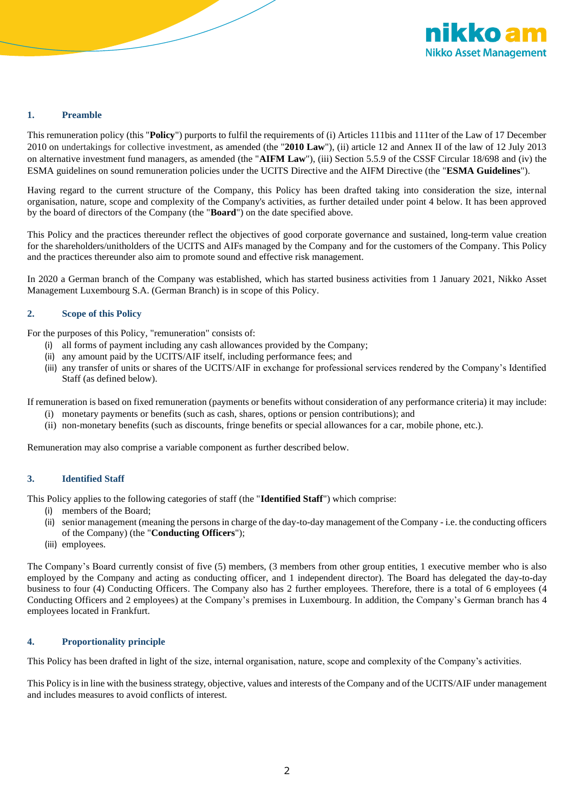

# **1. Preamble**

This remuneration policy (this "**Policy**") purports to fulfil the requirements of (i) Articles 111bis and 111ter of the Law of 17 December 2010 on undertakings for collective investment, as amended (the "**2010 Law**"), (ii) article 12 and Annex II of the law of 12 July 2013 on alternative investment fund managers, as amended (the "**AIFM Law**"), (iii) Section 5.5.9 of the CSSF Circular 18/698 and (iv) the ESMA guidelines on sound remuneration policies under the UCITS Directive and the AIFM Directive (the "**ESMA Guidelines**").

Having regard to the current structure of the Company, this Policy has been drafted taking into consideration the size, internal organisation, nature, scope and complexity of the Company's activities, as further detailed under point 4 below. It has been approved by the board of directors of the Company (the "**Board**") on the date specified above.

This Policy and the practices thereunder reflect the objectives of good corporate governance and sustained, long-term value creation for the shareholders/unitholders of the UCITS and AIFs managed by the Company and for the customers of the Company. This Policy and the practices thereunder also aim to promote sound and effective risk management.

In 2020 a German branch of the Company was established, which has started business activities from 1 January 2021, Nikko Asset Management Luxembourg S.A. (German Branch) is in scope of this Policy.

# **2. Scope of this Policy**

For the purposes of this Policy, "remuneration" consists of:

- (i) all forms of payment including any cash allowances provided by the Company;
- (ii) any amount paid by the UCITS/AIF itself, including performance fees; and
- (iii) any transfer of units or shares of the UCITS/AIF in exchange for professional services rendered by the Company's Identified Staff (as defined below).

If remuneration is based on fixed remuneration (payments or benefits without consideration of any performance criteria) it may include:

- (i) monetary payments or benefits (such as cash, shares, options or pension contributions); and
- (ii) non-monetary benefits (such as discounts, fringe benefits or special allowances for a car, mobile phone, etc.).

Remuneration may also comprise a variable component as further described below.

# **3. Identified Staff**

This Policy applies to the following categories of staff (the "**Identified Staff**") which comprise:

- (i) members of the Board;
- (ii) senior management (meaning the persons in charge of the day-to-day management of the Company i.e. the conducting officers of the Company) (the "**Conducting Officers**");
- (iii) employees.

The Company's Board currently consist of five (5) members, (3 members from other group entities, 1 executive member who is also employed by the Company and acting as conducting officer, and 1 independent director). The Board has delegated the day-to-day business to four (4) Conducting Officers. The Company also has 2 further employees. Therefore, there is a total of 6 employees (4 Conducting Officers and 2 employees) at the Company's premises in Luxembourg. In addition, the Company's German branch has 4 employees located in Frankfurt.

### **4. Proportionality principle**

This Policy has been drafted in light of the size, internal organisation, nature, scope and complexity of the Company's activities.

This Policy is in line with the business strategy, objective, values and interests of the Company and of the UCITS/AIF under management and includes measures to avoid conflicts of interest.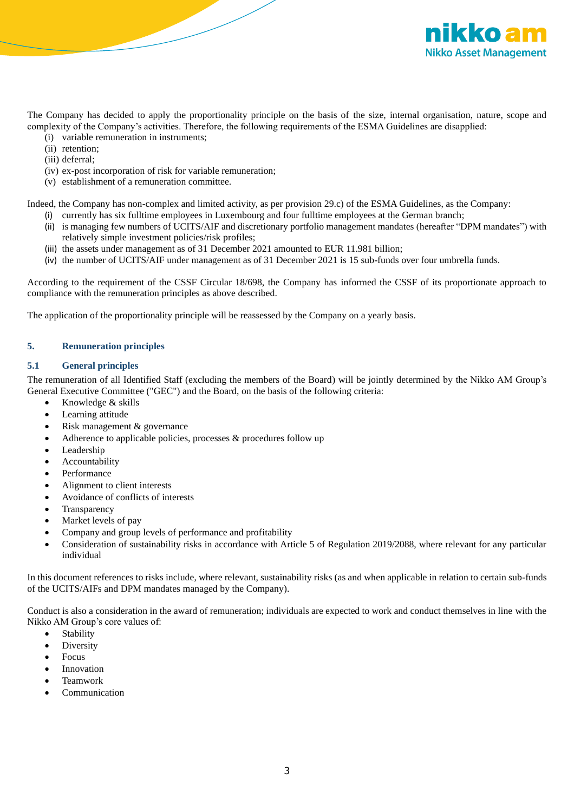

The Company has decided to apply the proportionality principle on the basis of the size, internal organisation, nature, scope and complexity of the Company's activities. Therefore, the following requirements of the ESMA Guidelines are disapplied:

- (i) variable remuneration in instruments;
- (ii) retention;
- (iii) deferral;
- (iv) ex-post incorporation of risk for variable remuneration;
- (v) establishment of a remuneration committee.

Indeed, the Company has non-complex and limited activity, as per provision 29.c) of the ESMA Guidelines, as the Company:

- (i) currently has six fulltime employees in Luxembourg and four fulltime employees at the German branch;
- (ii) is managing few numbers of UCITS/AIF and discretionary portfolio management mandates (hereafter "DPM mandates") with relatively simple investment policies/risk profiles;
- (iii) the assets under management as of 31 December 2021 amounted to EUR 11.981 billion;
- (iv) the number of UCITS/AIF under management as of 31 December 2021 is 15 sub-funds over four umbrella funds.

According to the requirement of the CSSF Circular 18/698, the Company has informed the CSSF of its proportionate approach to compliance with the remuneration principles as above described.

The application of the proportionality principle will be reassessed by the Company on a yearly basis.

# **5. Remuneration principles**

## **5.1 General principles**

The remuneration of all Identified Staff (excluding the members of the Board) will be jointly determined by the Nikko AM Group's General Executive Committee ("GEC") and the Board, on the basis of the following criteria:

- Knowledge & skills
- Learning attitude
- Risk management & governance
- Adherence to applicable policies, processes & procedures follow up
- **Leadership**
- **Accountability**
- Performance
- Alignment to client interests
- Avoidance of conflicts of interests
- **Transparency**
- Market levels of pay
- Company and group levels of performance and profitability
- Consideration of sustainability risks in accordance with Article 5 of Regulation 2019/2088, where relevant for any particular individual

In this document references to risks include, where relevant, sustainability risks (as and when applicable in relation to certain sub-funds of the UCITS/AIFs and DPM mandates managed by the Company).

Conduct is also a consideration in the award of remuneration; individuals are expected to work and conduct themselves in line with the Nikko AM Group's core values of:

- Stability
- **Diversity**
- Focus
- **Innovation**
- Teamwork
- **Communication**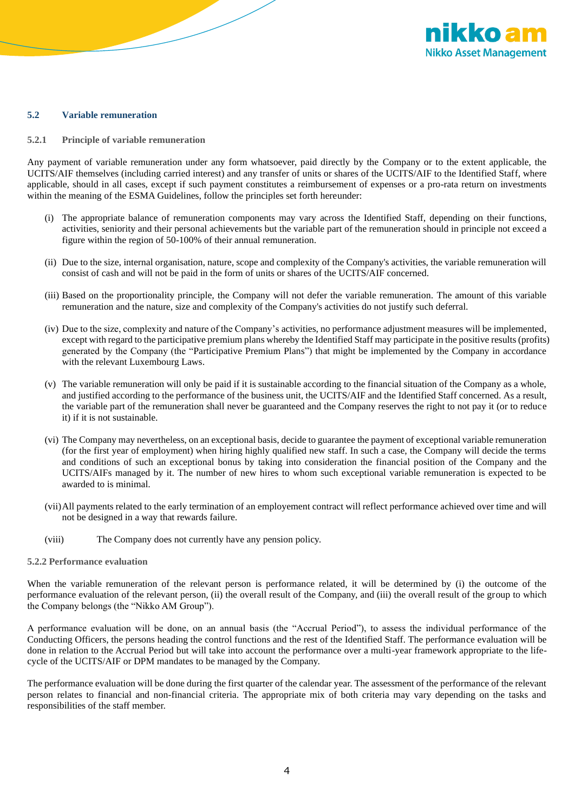

#### **5.2 Variable remuneration**

**5.2.1 Principle of variable remuneration**

Any payment of variable remuneration under any form whatsoever, paid directly by the Company or to the extent applicable, the UCITS/AIF themselves (including carried interest) and any transfer of units or shares of the UCITS/AIF to the Identified Staff, where applicable, should in all cases, except if such payment constitutes a reimbursement of expenses or a pro-rata return on investments within the meaning of the ESMA Guidelines, follow the principles set forth hereunder:

- (i) The appropriate balance of remuneration components may vary across the Identified Staff, depending on their functions, activities, seniority and their personal achievements but the variable part of the remuneration should in principle not exceed a figure within the region of 50-100% of their annual remuneration.
- (ii) Due to the size, internal organisation, nature, scope and complexity of the Company's activities, the variable remuneration will consist of cash and will not be paid in the form of units or shares of the UCITS/AIF concerned.
- (iii) Based on the proportionality principle, the Company will not defer the variable remuneration. The amount of this variable remuneration and the nature, size and complexity of the Company's activities do not justify such deferral.
- (iv) Due to the size, complexity and nature of the Company's activities, no performance adjustment measures will be implemented, except with regard to the participative premium plans whereby the Identified Staff may participate in the positive results (profits) generated by the Company (the "Participative Premium Plans") that might be implemented by the Company in accordance with the relevant Luxembourg Laws.
- (v) The variable remuneration will only be paid if it is sustainable according to the financial situation of the Company as a whole, and justified according to the performance of the business unit, the UCITS/AIF and the Identified Staff concerned. As a result, the variable part of the remuneration shall never be guaranteed and the Company reserves the right to not pay it (or to reduce it) if it is not sustainable.
- (vi) The Company may nevertheless, on an exceptional basis, decide to guarantee the payment of exceptional variable remuneration (for the first year of employment) when hiring highly qualified new staff. In such a case, the Company will decide the terms and conditions of such an exceptional bonus by taking into consideration the financial position of the Company and the UCITS/AIFs managed by it. The number of new hires to whom such exceptional variable remuneration is expected to be awarded to is minimal.
- (vii)All payments related to the early termination of an employement contract will reflect performance achieved over time and will not be designed in a way that rewards failure.
- (viii) The Company does not currently have any pension policy.
- **5.2.2 Performance evaluation**

When the variable remuneration of the relevant person is performance related, it will be determined by (i) the outcome of the performance evaluation of the relevant person, (ii) the overall result of the Company, and (iii) the overall result of the group to which the Company belongs (the "Nikko AM Group").

A performance evaluation will be done, on an annual basis (the "Accrual Period"), to assess the individual performance of the Conducting Officers, the persons heading the control functions and the rest of the Identified Staff. The performance evaluation will be done in relation to the Accrual Period but will take into account the performance over a multi-year framework appropriate to the lifecycle of the UCITS/AIF or DPM mandates to be managed by the Company.

The performance evaluation will be done during the first quarter of the calendar year. The assessment of the performance of the relevant person relates to financial and non-financial criteria. The appropriate mix of both criteria may vary depending on the tasks and responsibilities of the staff member.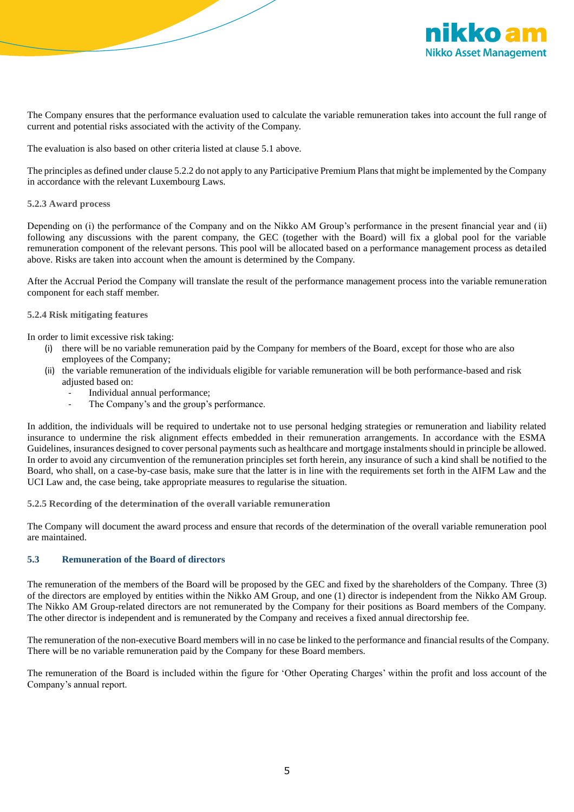

The Company ensures that the performance evaluation used to calculate the variable remuneration takes into account the full range of current and potential risks associated with the activity of the Company.

The evaluation is also based on other criteria listed at clause 5.1 above.

The principles as defined under clause 5.2.2 do not apply to any Participative Premium Plans that might be implemented by the Company in accordance with the relevant Luxembourg Laws.

## **5.2.3 Award process**

Depending on (i) the performance of the Company and on the Nikko AM Group's performance in the present financial year and (ii) following any discussions with the parent company, the GEC (together with the Board) will fix a global pool for the variable remuneration component of the relevant persons. This pool will be allocated based on a performance management process as detailed above. Risks are taken into account when the amount is determined by the Company.

After the Accrual Period the Company will translate the result of the performance management process into the variable remuneration component for each staff member.

# **5.2.4 Risk mitigating features**

In order to limit excessive risk taking:

- (i) there will be no variable remuneration paid by the Company for members of the Board, except for those who are also employees of the Company;
- (ii) the variable remuneration of the individuals eligible for variable remuneration will be both performance-based and risk adjusted based on:
	- Individual annual performance;
	- The Company's and the group's performance.

In addition, the individuals will be required to undertake not to use personal hedging strategies or remuneration and liability related insurance to undermine the risk alignment effects embedded in their remuneration arrangements. In accordance with the ESMA Guidelines, insurances designed to cover personal payments such as healthcare and mortgage instalments should in principle be allowed. In order to avoid any circumvention of the remuneration principles set forth herein, any insurance of such a kind shall be notified to the Board, who shall, on a case-by-case basis, make sure that the latter is in line with the requirements set forth in the AIFM Law and the UCI Law and, the case being, take appropriate measures to regularise the situation.

**5.2.5 Recording of the determination of the overall variable remuneration**

The Company will document the award process and ensure that records of the determination of the overall variable remuneration pool are maintained.

#### **5.3 Remuneration of the Board of directors**

The remuneration of the members of the Board will be proposed by the GEC and fixed by the shareholders of the Company. Three (3) of the directors are employed by entities within the Nikko AM Group, and one (1) director is independent from the Nikko AM Group. The Nikko AM Group-related directors are not remunerated by the Company for their positions as Board members of the Company. The other director is independent and is remunerated by the Company and receives a fixed annual directorship fee.

The remuneration of the non-executive Board members will in no case be linked to the performance and financial results of the Company. There will be no variable remuneration paid by the Company for these Board members.

The remuneration of the Board is included within the figure for 'Other Operating Charges' within the profit and loss account of the Company's annual report.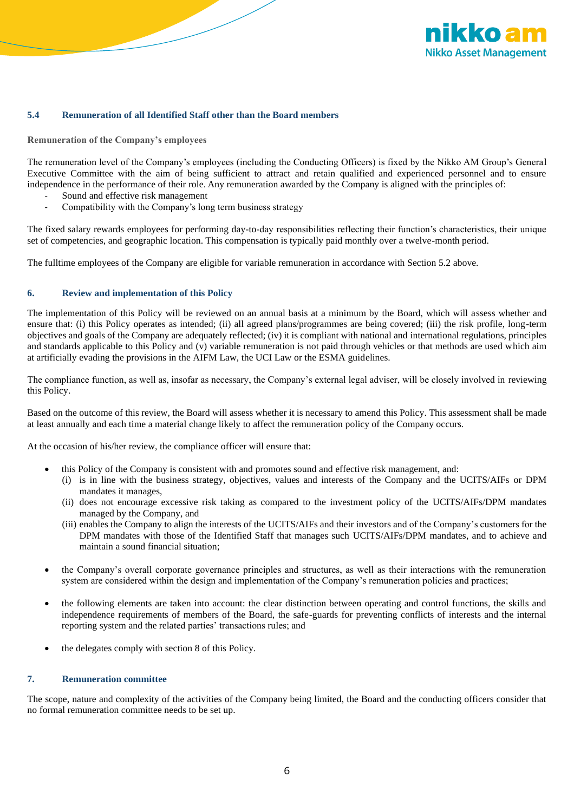

# **5.4 Remuneration of all Identified Staff other than the Board members**

#### **Remuneration of the Company's employees**

The remuneration level of the Company's employees (including the Conducting Officers) is fixed by the Nikko AM Group's General Executive Committee with the aim of being sufficient to attract and retain qualified and experienced personnel and to ensure independence in the performance of their role. Any remuneration awarded by the Company is aligned with the principles of:

- Sound and effective risk management
- Compatibility with the Company's long term business strategy

The fixed salary rewards employees for performing day-to-day responsibilities reflecting their function's characteristics, their unique set of competencies, and geographic location. This compensation is typically paid monthly over a twelve-month period.

The fulltime employees of the Company are eligible for variable remuneration in accordance with Section 5.2 above.

#### **6. Review and implementation of this Policy**

The implementation of this Policy will be reviewed on an annual basis at a minimum by the Board, which will assess whether and ensure that: (i) this Policy operates as intended; (ii) all agreed plans/programmes are being covered; (iii) the risk profile, long-term objectives and goals of the Company are adequately reflected; (iv) it is compliant with national and international regulations, principles and standards applicable to this Policy and (v) variable remuneration is not paid through vehicles or that methods are used which aim at artificially evading the provisions in the AIFM Law, the UCI Law or the ESMA guidelines.

The compliance function, as well as, insofar as necessary, the Company's external legal adviser, will be closely involved in reviewing this Policy.

Based on the outcome of this review, the Board will assess whether it is necessary to amend this Policy. This assessment shall be made at least annually and each time a material change likely to affect the remuneration policy of the Company occurs.

At the occasion of his/her review, the compliance officer will ensure that:

- this Policy of the Company is consistent with and promotes sound and effective risk management, and:
	- (i) is in line with the business strategy, objectives, values and interests of the Company and the UCITS/AIFs or DPM mandates it manages,
	- (ii) does not encourage excessive risk taking as compared to the investment policy of the UCITS/AIFs/DPM mandates managed by the Company, and
	- (iii) enables the Company to align the interests of the UCITS/AIFs and their investors and of the Company's customers for the DPM mandates with those of the Identified Staff that manages such UCITS/AIFs/DPM mandates, and to achieve and maintain a sound financial situation;
- the Company's overall corporate governance principles and structures, as well as their interactions with the remuneration system are considered within the design and implementation of the Company's remuneration policies and practices;
- the following elements are taken into account: the clear distinction between operating and control functions, the skills and independence requirements of members of the Board, the safe-guards for preventing conflicts of interests and the internal reporting system and the related parties' transactions rules; and
- the delegates comply with section 8 of this Policy.

## **7. Remuneration committee**

The scope, nature and complexity of the activities of the Company being limited, the Board and the conducting officers consider that no formal remuneration committee needs to be set up.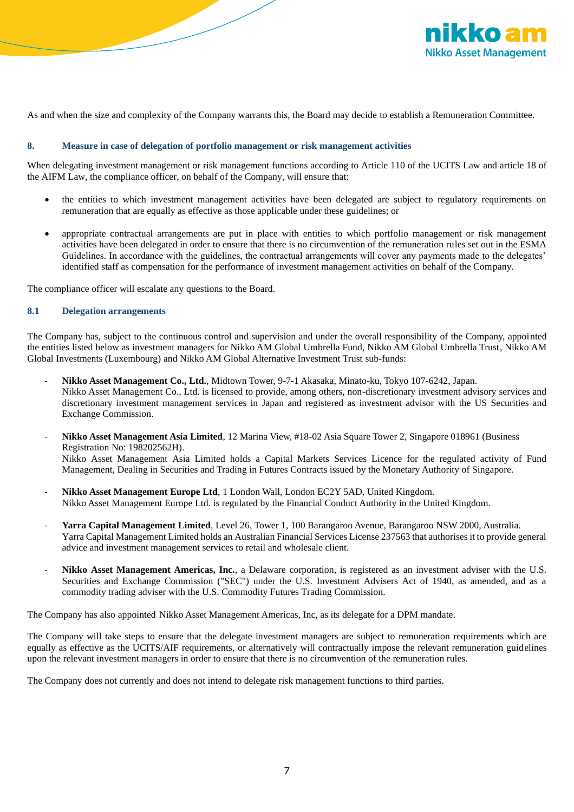

As and when the size and complexity of the Company warrants this, the Board may decide to establish a Remuneration Committee.

#### **8. Measure in case of delegation of portfolio management or risk management activities**

When delegating investment management or risk management functions according to Article 110 of the UCITS Law and article 18 of the AIFM Law, the compliance officer, on behalf of the Company, will ensure that:

- the entities to which investment management activities have been delegated are subject to regulatory requirements on remuneration that are equally as effective as those applicable under these guidelines; or
- appropriate contractual arrangements are put in place with entities to which portfolio management or risk management activities have been delegated in order to ensure that there is no circumvention of the remuneration rules set out in the ESMA Guidelines. In accordance with the guidelines, the contractual arrangements will cover any payments made to the delegates' identified staff as compensation for the performance of investment management activities on behalf of the Company.

The compliance officer will escalate any questions to the Board.

# **8.1 Delegation arrangements**

The Company has, subject to the continuous control and supervision and under the overall responsibility of the Company, appointed the entities listed below as investment managers for Nikko AM Global Umbrella Fund, Nikko AM Global Umbrella Trust, Nikko AM Global Investments (Luxembourg) and Nikko AM Global Alternative Investment Trust sub-funds:

- **Nikko Asset Management Co., Ltd.**, Midtown Tower, 9-7-1 Akasaka, Minato-ku, Tokyo 107-6242, Japan. Nikko Asset Management Co., Ltd. is licensed to provide, among others, non-discretionary investment advisory services and discretionary investment management services in Japan and registered as investment advisor with the US Securities and Exchange Commission.
- **Nikko Asset Management Asia Limited**, 12 Marina View, #18-02 Asia Square Tower 2, Singapore 018961 (Business Registration No: 198202562H). Nikko Asset Management Asia Limited holds a Capital Markets Services Licence for the regulated activity of Fund Management, Dealing in Securities and Trading in Futures Contracts issued by the Monetary Authority of Singapore.
- **Nikko Asset Management Europe Ltd**, 1 London Wall, London EC2Y 5AD, United Kingdom. Nikko Asset Management Europe Ltd. is regulated by the Financial Conduct Authority in the United Kingdom.
- **Yarra Capital Management Limited**, Level 26, Tower 1, 100 Barangaroo Avenue, Barangaroo NSW 2000, Australia. Yarra Capital Management Limited holds an Australian Financial Services License 237563 that authorises it to provide general advice and investment management services to retail and wholesale client.
- **Nikko Asset Management Americas, Inc.**, a Delaware corporation, is registered as an investment adviser with the U.S. Securities and Exchange Commission ("SEC") under the U.S. Investment Advisers Act of 1940, as amended, and as a commodity trading adviser with the U.S. Commodity Futures Trading Commission.

The Company has also appointed Nikko Asset Management Americas, Inc, as its delegate for a DPM mandate.

The Company will take steps to ensure that the delegate investment managers are subject to remuneration requirements which are equally as effective as the UCITS/AIF requirements, or alternatively will contractually impose the relevant remuneration guidelines upon the relevant investment managers in order to ensure that there is no circumvention of the remuneration rules.

The Company does not currently and does not intend to delegate risk management functions to third parties.